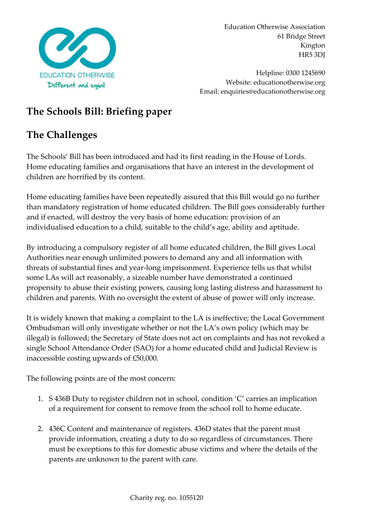

Helpline: 0300 1245690 Website: educationotherwise.org Email: enquiries@educationotherwise.org

## **The Schools Bill: Briefing paper**

# **The Challenges**

The Schools' Bill has been introduced and had its first reading in the House of Lords. Home educating families and organisations that have an interest in the development of children are horrified by its content.

Home educating families have been repeatedly assured that this Bill would go no further than mandatory registration of home educated children. The Bill goes considerably further and if enacted, will destroy the very basis of home education: provision of an individualised education to a child, suitable to the child's age, ability and aptitude.

By introducing a compulsory register of all home educated children, the Bill gives Local Authorities near enough unlimited powers to demand any and all information with threats of substantial fines and year-long imprisonment. Experience tells us that whilst some LAs will act reasonably, a sizeable number have demonstrated a continued propensity to abuse their existing powers, causing long lasting distress and harassment to children and parents. With no oversight the extent of abuse of power will only increase.

It is widely known that making a complaint to the LA is ineffective; the Local Government Ombudsman will only investigate whether or not the LA's own policy (which may be illegal) is followed; the Secretary of State does not act on complaints and has not revoked a single School Attendance Order (SAO) for a home educated child and Judicial Review is inaccessible costing upwards of £50,000.

The following points are of the most concern:

- 1. S 436B Duty to register children not in school, condition 'C' carries an implication of a requirement for consent to remove from the school roll to home educate.
- 2. 436C Content and maintenance of registers. 436D states that the parent must provide information, creating a duty to do so regardless of circumstances. There must be exceptions to this for domestic abuse victims and where the details of the parents are unknown to the parent with care.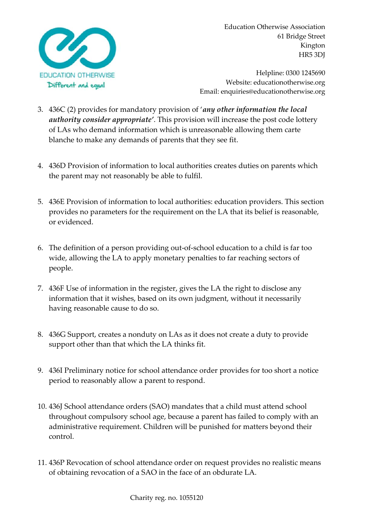

Helpline: 0300 1245690 Website: educationotherwise.org Email: enquiries@educationotherwise.org

- 3. 436C (2) provides for mandatory provision of '*any other information the local authority consider appropriate'*. This provision will increase the post code lottery of LAs who demand information which is unreasonable allowing them carte blanche to make any demands of parents that they see fit.
- 4. 436D Provision of information to local authorities creates duties on parents which the parent may not reasonably be able to fulfil.
- 5. 436E Provision of information to local authorities: education providers. This section provides no parameters for the requirement on the LA that its belief is reasonable, or evidenced.
- 6. The definition of a person providing out-of-school education to a child is far too wide, allowing the LA to apply monetary penalties to far reaching sectors of people.
- 7. 436F Use of information in the register, gives the LA the right to disclose any information that it wishes, based on its own judgment, without it necessarily having reasonable cause to do so.
- 8. 436G Support, creates a nonduty on LAs as it does not create a duty to provide support other than that which the LA thinks fit.
- 9. 436I Preliminary notice for school attendance order provides for too short a notice period to reasonably allow a parent to respond.
- 10. 436J School attendance orders (SAO) mandates that a child must attend school throughout compulsory school age, because a parent has failed to comply with an administrative requirement. Children will be punished for matters beyond their control.
- 11. 436P Revocation of school attendance order on request provides no realistic means of obtaining revocation of a SAO in the face of an obdurate LA.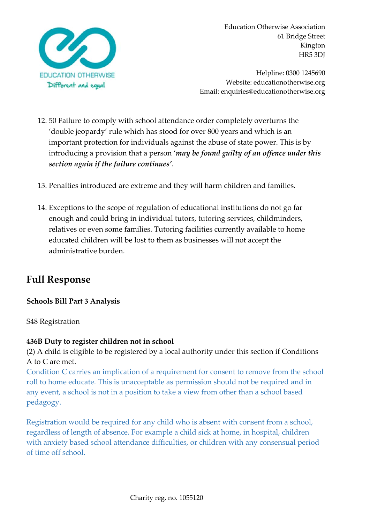

Helpline: 0300 1245690 Website: educationotherwise.org Email: enquiries@educationotherwise.org

- 12. 50 Failure to comply with school attendance order completely overturns the 'double jeopardy' rule which has stood for over 800 years and which is an important protection for individuals against the abuse of state power. This is by introducing a provision that a person '*may be found guilty of an offence under this section again if the failure continues'*.
- 13. Penalties introduced are extreme and they will harm children and families.
- 14. Exceptions to the scope of regulation of educational institutions do not go far enough and could bring in individual tutors, tutoring services, childminders, relatives or even some families. Tutoring facilities currently available to home educated children will be lost to them as businesses will not accept the administrative burden.

## **Full Response**

## **Schools Bill Part 3 Analysis**

S48 Registration

#### **436B Duty to register children not in school**

(2) A child is eligible to be registered by a local authority under this section if Conditions A to C are met.

Condition C carries an implication of a requirement for consent to remove from the school roll to home educate. This is unacceptable as permission should not be required and in any event, a school is not in a position to take a view from other than a school based pedagogy.

Registration would be required for any child who is absent with consent from a school, regardless of length of absence. For example a child sick at home, in hospital, children with anxiety based school attendance difficulties, or children with any consensual period of time off school.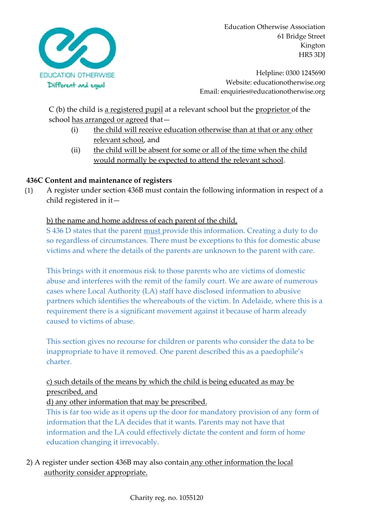

Helpline: 0300 1245690 Website: educationotherwise.org Email: enquiries@educationotherwise.org

C (b) the child is a registered pupil at a relevant school but the proprietor of the school has arranged or agreed that—

- (i) the child will receive education otherwise than at that or any other relevant school, and
- (ii) the child will be absent for some or all of the time when the child would normally be expected to attend the relevant school.

## **436C Content and maintenance of registers**

(1) A register under section 436B must contain the following information in respect of a child registered in it—

### b) the name and home address of each parent of the child,

S 436 D states that the parent must provide this information. Creating a duty to do so regardless of circumstances. There must be exceptions to this for domestic abuse victims and where the details of the parents are unknown to the parent with care.

This brings with it enormous risk to those parents who are victims of domestic abuse and interferes with the remit of the family court. We are aware of numerous cases where Local Authority (LA) staff have disclosed information to abusive partners which identifies the whereabouts of the victim. In Adelaide, where this is a requirement there is a significant movement against it because of harm already caused to victims of abuse.

This section gives no recourse for children or parents who consider the data to be inappropriate to have it removed. One parent described this as a paedophile's charter.

## c) such details of the means by which the child is being educated as may be prescribed, and

d) any other information that may be prescribed.

This is far too wide as it opens up the door for mandatory provision of any form of information that the LA decides that it wants. Parents may not have that information and the LA could effectively dictate the content and form of home education changing it irrevocably.

2) A register under section 436B may also contain any other information the local authority consider appropriate.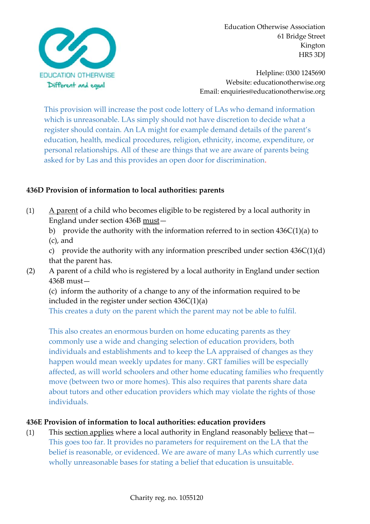

Helpline: 0300 1245690 Website: educationotherwise.org Email: enquiries@educationotherwise.org

This provision will increase the post code lottery of LAs who demand information which is unreasonable. LAs simply should not have discretion to decide what a register should contain. An LA might for example demand details of the parent's education, health, medical procedures, religion, ethnicity, income, expenditure, or personal relationships. All of these are things that we are aware of parents being asked for by Las and this provides an open door for discrimination.

### **436D Provision of information to local authorities: parents**

- (1) A parent of a child who becomes eligible to be registered by a local authority in England under section 436B must
	- b) provide the authority with the information referred to in section 436C(1)(a) to (c), and

c) provide the authority with any information prescribed under section  $436C(1)(d)$ that the parent has.

(2) A parent of a child who is registered by a local authority in England under section 436B must—

(c) inform the authority of a change to any of the information required to be included in the register under section  $436C(1)(a)$ 

This creates a duty on the parent which the parent may not be able to fulfil.

This also creates an enormous burden on home educating parents as they commonly use a wide and changing selection of education providers, both individuals and establishments and to keep the LA appraised of changes as they happen would mean weekly updates for many. GRT families will be especially affected, as will world schoolers and other home educating families who frequently move (between two or more homes). This also requires that parents share data about tutors and other education providers which may violate the rights of those individuals.

#### **436E Provision of information to local authorities: education providers**

(1) This section applies where a local authority in England reasonably believe that— This goes too far. It provides no parameters for requirement on the LA that the belief is reasonable, or evidenced. We are aware of many LAs which currently use wholly unreasonable bases for stating a belief that education is unsuitable.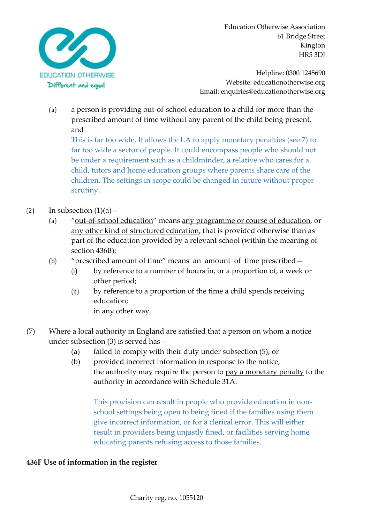

Helpline: 0300 1245690 Website: educationotherwise.org Email: enquiries@educationotherwise.org

(a) a person is providing out-of-school education to a child for more than the prescribed amount of time without any parent of the child being present, and

This is far too wide. It allows the LA to apply monetary penalties (see 7) to far too wide a sector of people. It could encompass people who should not be under a requirement such as a childminder, a relative who cares for a child, tutors and home education groups where parents share care of the children. The settings in scope could be changed in future without proper scrutiny.

## (2) In subsection  $(1)(a)$  —

- (a) "<u>out-of-school education</u>" means <u>any programme or course of education</u>, or any other kind of structured education, that is provided otherwise than as part of the education provided by a relevant school (within the meaning of section 436B);
- (b) "prescribed amount of time" means an amount of time prescribed—
	- (i) by reference to a number of hours in, or a proportion of, a week or other period;
	- (ii) by reference to a proportion of the time a child spends receiving education;

in any other way.

- (7) Where a local authority in England are satisfied that a person on whom a notice under subsection (3) is served has—
	- (a) failed to comply with their duty under subsection (5), or
	- (b) provided incorrect information in response to the notice, the authority may require the person to pay a monetary penalty to the authority in accordance with Schedule 31A.

This provision can result in people who provide education in nonschool settings being open to being fined if the families using them give incorrect information, or for a clerical error. This will either result in providers being unjustly fined, or facilities serving home educating parents refusing access to those families.

#### **436F Use of information in the register**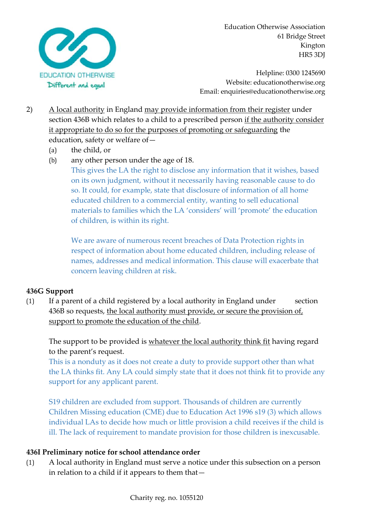

Helpline: 0300 1245690 Website: educationotherwise.org Email: enquiries@educationotherwise.org

- 2) A local authority in England may provide information from their register under section 436B which relates to a child to a prescribed person if the authority consider it appropriate to do so for the purposes of promoting or safeguarding the education, safety or welfare of—
	- (a) the child, or
	- (b) any other person under the age of 18.

This gives the LA the right to disclose any information that it wishes, based on its own judgment, without it necessarily having reasonable cause to do so. It could, for example, state that disclosure of information of all home educated children to a commercial entity, wanting to sell educational materials to families which the LA 'considers' will 'promote' the education of children, is within its right.

We are aware of numerous recent breaches of Data Protection rights in respect of information about home educated children, including release of names, addresses and medical information. This clause will exacerbate that concern leaving children at risk.

## **436G Support**

(1) If a parent of a child registered by a local authority in England under section 436B so requests, the local authority must provide, or secure the provision of, support to promote the education of the child.

The support to be provided is whatever the local authority think fit having regard to the parent's request.

This is a nonduty as it does not create a duty to provide support other than what the LA thinks fit. Any LA could simply state that it does not think fit to provide any support for any applicant parent.

S19 children are excluded from support. Thousands of children are currently Children Missing education (CME) due to Education Act 1996 s19 (3) which allows individual LAs to decide how much or little provision a child receives if the child is ill. The lack of requirement to mandate provision for those children is inexcusable.

## **436I Preliminary notice for school attendance order**

(1) A local authority in England must serve a notice under this subsection on a person in relation to a child if it appears to them that—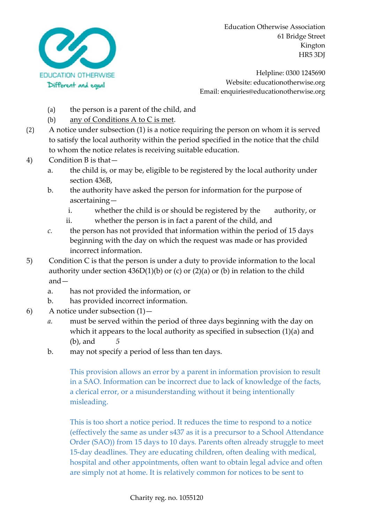

Helpline: 0300 1245690 Website: educationotherwise.org Email: enquiries@educationotherwise.org

- (a) the person is a parent of the child, and
- (b) any of Conditions A to C is met.
- (2) A notice under subsection (1) is a notice requiring the person on whom it is served to satisfy the local authority within the period specified in the notice that the child to whom the notice relates is receiving suitable education.
- 4) Condition B is that
	- a. the child is, or may be, eligible to be registered by the local authority under section 436B,
	- b. the authority have asked the person for information for the purpose of ascertaining
		- i. whether the child is or should be registered by the authority, or
		- ii. whether the person is in fact a parent of the child, and
	- *c.* the person has not provided that information within the period of 15 days beginning with the day on which the request was made or has provided incorrect information.
- 5) Condition C is that the person is under a duty to provide information to the local authority under section 436D(1)(b) or (c) or (2)(a) or (b) in relation to the child and
	- a. has not provided the information, or
	- b. has provided incorrect information.
- 6) A notice under subsection (1)
	- *a.* must be served within the period of three days beginning with the day on which it appears to the local authority as specified in subsection (1)(a) and (b), and *5*
	- b. may not specify a period of less than ten days.

This provision allows an error by a parent in information provision to result in a SAO. Information can be incorrect due to lack of knowledge of the facts, a clerical error, or a misunderstanding without it being intentionally misleading.

This is too short a notice period. It reduces the time to respond to a notice (effectively the same as under s437 as it is a precursor to a School Attendance Order (SAO)) from 15 days to 10 days. Parents often already struggle to meet 15-day deadlines. They are educating children, often dealing with medical, hospital and other appointments, often want to obtain legal advice and often are simply not at home. It is relatively common for notices to be sent to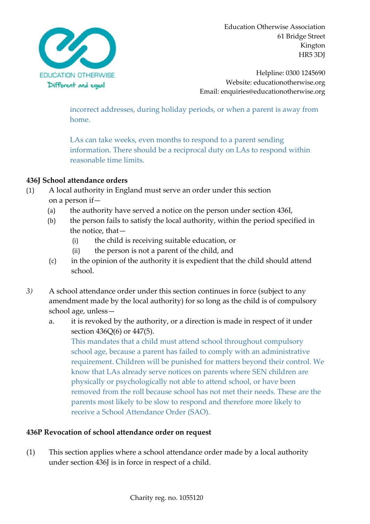

Helpline: 0300 1245690 Website: educationotherwise.org Email: enquiries@educationotherwise.org

incorrect addresses, during holiday periods, or when a parent is away from home.

LAs can take weeks, even months to respond to a parent sending information. There should be a reciprocal duty on LAs to respond within reasonable time limits.

## **436J School attendance orders**

- (1) A local authority in England must serve an order under this section on a person if—
	- (a) the authority have served a notice on the person under section 436I,
	- (b) the person fails to satisfy the local authority, within the period specified in the notice, that—
		- (i) the child is receiving suitable education, or
		- (ii) the person is not a parent of the child, and
	- (c) in the opinion of the authority it is expedient that the child should attend school.
- *3)* A school attendance order under this section continues in force (subject to any amendment made by the local authority) for so long as the child is of compulsory school age, unless
	- a. it is revoked by the authority, or a direction is made in respect of it under section 436Q(6) or 447(5).

This mandates that a child must attend school throughout compulsory school age, because a parent has failed to comply with an administrative requirement. Children will be punished for matters beyond their control. We know that LAs already serve notices on parents where SEN children are physically or psychologically not able to attend school, or have been removed from the roll because school has not met their needs. These are the parents most likely to be slow to respond and therefore more likely to receive a School Attendance Order (SAO).

#### **436P Revocation of school attendance order on request**

(1) This section applies where a school attendance order made by a local authority under section 436J is in force in respect of a child.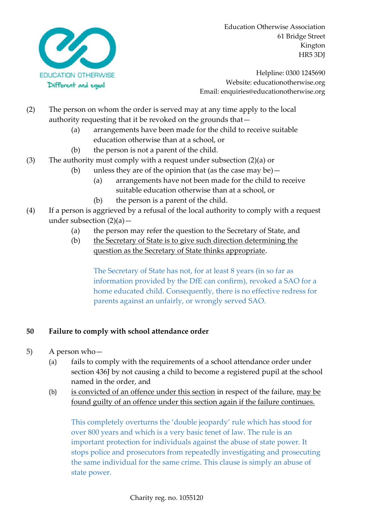

Helpline: 0300 1245690 Website: educationotherwise.org Email: enquiries@educationotherwise.org

- (2) The person on whom the order is served may at any time apply to the local authority requesting that it be revoked on the grounds that—
	- (a) arrangements have been made for the child to receive suitable education otherwise than at a school, or
	- (b) the person is not a parent of the child.
- (3) The authority must comply with a request under subsection (2)(a) or
	- (b) unless they are of the opinion that (as the case may be)—
		- (a) arrangements have not been made for the child to receive suitable education otherwise than at a school, or
		- (b) the person is a parent of the child.
- (4) If a person is aggrieved by a refusal of the local authority to comply with a request under subsection  $(2)(a)$  –
	- (a) the person may refer the question to the Secretary of State, and
	- (b) the Secretary of State is to give such direction determining the question as the Secretary of State thinks appropriate.

The Secretary of State has not, for at least 8 years (in so far as information provided by the DfE can confirm), revoked a SAO for a home educated child. Consequently, there is no effective redress for parents against an unfairly, or wrongly served SAO.

## **50 Failure to comply with school attendance order**

- 5) A person who—
	- (a) fails to comply with the requirements of a school attendance order under section 436J by not causing a child to become a registered pupil at the school named in the order, and
	- (b) is convicted of an offence under this section in respect of the failure, may be found guilty of an offence under this section again if the failure continues.

This completely overturns the 'double jeopardy' rule which has stood for over 800 years and which is a very basic tenet of law. The rule is an important protection for individuals against the abuse of state power. It stops police and prosecutors from repeatedly investigating and prosecuting the same individual for the same crime. This clause is simply an abuse of state power.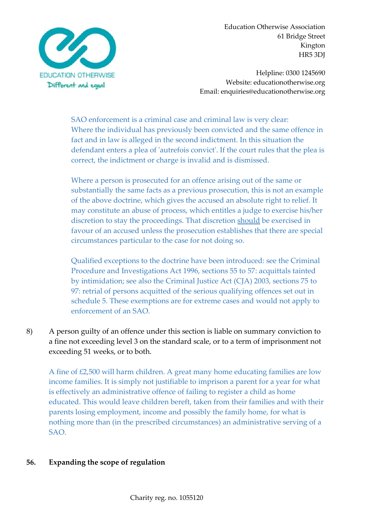

Helpline: 0300 1245690 Website: educationotherwise.org Email: enquiries@educationotherwise.org

SAO enforcement is a criminal case and criminal law is very clear: Where the individual has previously been convicted and the same offence in fact and in law is alleged in the second indictment. In this situation the defendant enters a plea of 'autrefois convict'. If the court rules that the plea is correct, the indictment or charge is invalid and is dismissed.

Where a person is prosecuted for an offence arising out of the same or substantially the same facts as a previous prosecution, this is not an example of the above doctrine, which gives the accused an absolute right to relief. It may constitute an abuse of process, which entitles a judge to exercise his/her discretion to stay the proceedings. That discretion should be exercised in favour of an accused unless the prosecution establishes that there are special circumstances particular to the case for not doing so.

Qualified exceptions to the doctrine have been introduced: see the Criminal Procedure and Investigations Act 1996, sections 55 to 57: acquittals tainted by intimidation; see also the Criminal Justice Act (CJA) 2003, sections 75 to 97: retrial of persons acquitted of the serious qualifying offences set out in schedule 5. These exemptions are for extreme cases and would not apply to enforcement of an SAO.

8) A person guilty of an offence under this section is liable on summary conviction to a fine not exceeding level 3 on the standard scale, or to a term of imprisonment not exceeding 51 weeks, or to both.

A fine of £2,500 will harm children. A great many home educating families are low income families. It is simply not justifiable to imprison a parent for a year for what is effectively an administrative offence of failing to register a child as home educated. This would leave children bereft, taken from their families and with their parents losing employment, income and possibly the family home, for what is nothing more than (in the prescribed circumstances) an administrative serving of a SAO.

#### **56. Expanding the scope of regulation**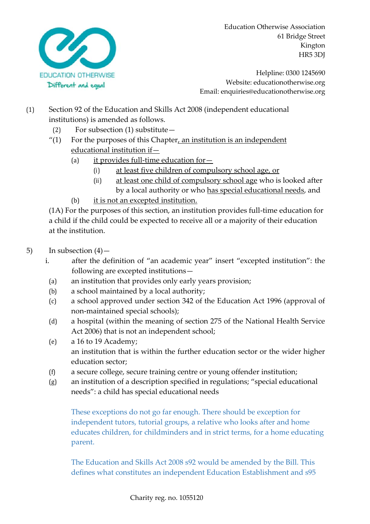

Helpline: 0300 1245690 Website: educationotherwise.org Email: enquiries@educationotherwise.org

- (1) Section 92 of the Education and Skills Act 2008 (independent educational institutions) is amended as follows.
	- (2) For subsection (1) substitute—
	- $''(1)$  For the purposes of this Chapter, an institution is an independent educational institution if—
		- (a) it provides full-time education for—
			- (i) at least five children of compulsory school age, or
			- (ii) at least one child of compulsory school age who is looked after by a local authority or who has special educational needs, and
		- (b) it is not an excepted institution.

(1A) For the purposes of this section, an institution provides full-time education for a child if the child could be expected to receive all or a majority of their education at the institution.

- 5) In subsection  $(4)$ 
	- i. after the definition of "an academic year" insert "excepted institution": the following are excepted institutions—
		- (a) an institution that provides only early years provision;
	- (b) a school maintained by a local authority;
	- (c) a school approved under section 342 of the Education Act 1996 (approval of non-maintained special schools);
	- (d) a hospital (within the meaning of section 275 of the National Health Service Act 2006) that is not an independent school;
	- (e) a 16 to 19 Academy; an institution that is within the further education sector or the wider higher education sector;
	- (f) a secure college, secure training centre or young offender institution;
	- (g) an institution of a description specified in regulations; "special educational needs": a child has special educational needs

These exceptions do not go far enough. There should be exception for independent tutors, tutorial groups, a relative who looks after and home educates children, for childminders and in strict terms, for a home educating parent.

The Education and Skills Act 2008 s92 would be amended by the Bill. This defines what constitutes an independent Education Establishment and s95